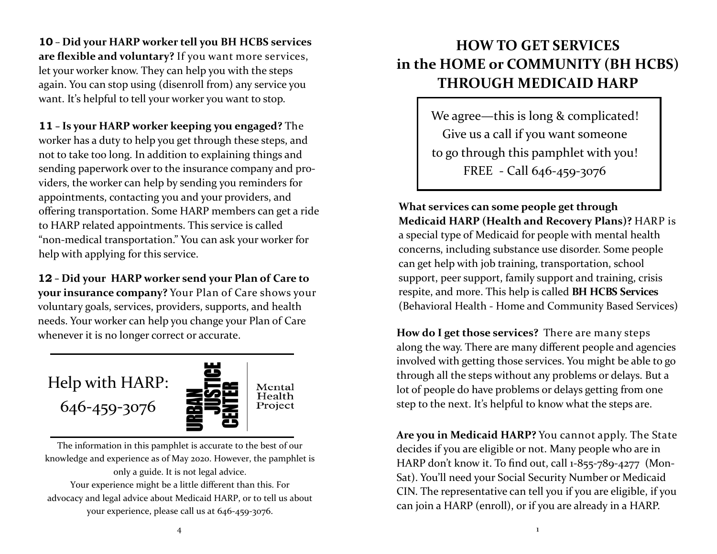**10** - **Did your HARP worker tell you BH HCBS services are flexible and voluntary?** If you want more services, let your worker know. They can help you with the steps again. You can stop using (disenroll from) any service you want. It's helpful to tell your worker you want to stop.

**11** - **Is your HARP worker keeping you engaged?** The worker has a duty to help you get through these steps, and not to take too long. In addition to explaining things and sending paperwork over to the insurance company and providers, the worker can help by sending you reminders for appointments, contacting you and your providers, and offering transportation. Some HARP members can get a ride to HARP related appointments. This service is called "non-medical transportation." You can ask your worker for help with applying for this service.

**12** - **Did your HARP worker send your Plan of Care to your insurance company?** Your Plan of Care shows your voluntary goals, services, providers, supports, and health needs. Your worker can help you change your Plan of Care whenever it is no longer correct or accurate.

## Help with HARP:

646-459-3076



The information in this pamphlet is accurate to the best of our knowledge and experience as of May 2020. However, the pamphlet is only a guide. It is not legal advice. Your experience might be a little different than this. For advocacy and legal advice about Medicaid HARP, or to tell us about your experience, please call us at 646-459-3076.

## **HOW TO GET SERVICES in the HOME or COMMUNITY (BH HCBS) THROUGH MEDICAID HARP**

We agree—this is long & complicated! Give us a call if you want someone to go through this pamphlet with you! FREE - Call 646-459-3076

**What services can some people get through Medicaid HARP (Health and Recovery Plans)?** HARP is a special type of Medicaid for people with mental health concerns, including substance use disorder. Some people can get help with job training, transportation, school support, peer support, family support and training, crisis respite, and more. This help is called **BH HCBS Services**  (Behavioral Health - Home and Community Based Services)

**How do I get those services?** There are many steps along the way. There are many different people and agencies involved with getting those services. You might be able to go through all the steps without any problems or delays. But a lot of people do have problems or delays getting from one step to the next. It's helpful to know what the steps are.

**Are you in Medicaid HARP?** You cannot apply. The State decides if you are eligible or not. Many people who are in HARP don't know it. To find out, call 1-855-789-4277 (Mon-Sat). You'll need your Social Security Number or Medicaid CIN. The representative can tell you if you are eligible, if you can join a HARP (enroll), or if you are already in a HARP.